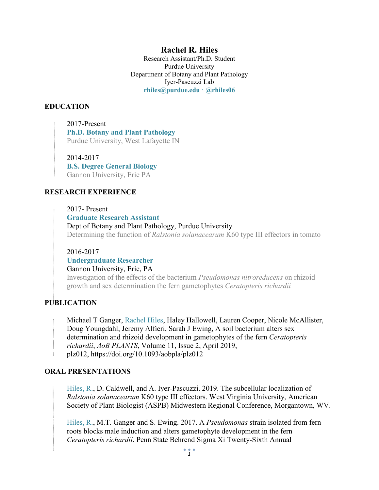# **Rachel R. Hiles**

Research Assistant/Ph.D. Student Purdue University Department of Botany and Plant Pathology Iyer-Pascuzzi Lab **rhiles@purdue.edu ⸱ @rhiles06**

### **EDUCATION**

2017-Present **Ph.D. Botany and Plant Pathology** Purdue University, West Lafayette IN

2014-2017 **B.S. Degree General Biology** Gannon University, Erie PA

### **RESEARCH EXPERIENCE**

2017- Present **Graduate Research Assistant**  Dept of Botany and Plant Pathology, Purdue University Determining the function of *Ralstonia solanacearum* K60 type III effectors in tomato

2016-2017 **Undergraduate Researcher**

Gannon University, Erie, PA Investigation of the effects of the bacterium *Pseudomonas nitroreducens* on rhizoid growth and sex determination the fern gametophytes *Ceratopteris richardii*

### **PUBLICATION**

Michael T Ganger, Rachel Hiles, Haley Hallowell, Lauren Cooper, Nicole McAllister, Doug Youngdahl, Jeremy Alfieri, Sarah J Ewing, A soil bacterium alters sex determination and rhizoid development in gametophytes of the fern *Ceratopteris richardii*, *AoB PLANTS*, Volume 11, Issue 2, April 2019, plz012, https://doi.org/10.1093/aobpla/plz012

### **ORAL PRESENTATIONS**

Hiles, R., D. Caldwell, and A. Iyer-Pascuzzi. 2019. The subcellular localization of *Ralstonia solanacearum* K60 type III effectors. West Virginia University, American Society of Plant Biologist (ASPB) Midwestern Regional Conference, Morgantown, WV.

Hiles, R., M.T. Ganger and S. Ewing. 2017. A *Pseudomonas* strain isolated from fern roots blocks male induction and alters gametophyte development in the fern *Ceratopteris richardii*. Penn State Behrend Sigma Xi Twenty-Sixth Annual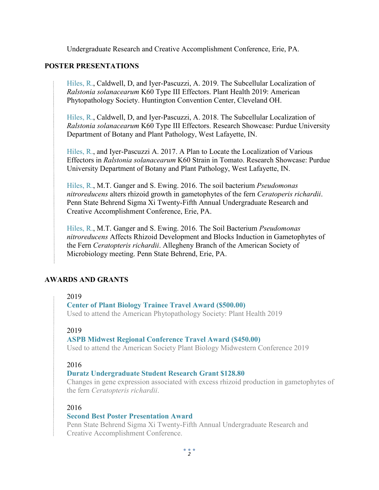Undergraduate Research and Creative Accomplishment Conference, Erie, PA.

### **POSTER PRESENTATIONS**

Hiles, R., Caldwell, D, and Iyer-Pascuzzi, A. 2019. The Subcellular Localization of *Ralstonia solanacearum* K60 Type III Effectors. Plant Health 2019: American Phytopathology Society. Huntington Convention Center, Cleveland OH.

Hiles, R., Caldwell, D, and Iyer-Pascuzzi, A. 2018. The Subcellular Localization of *Ralstonia solanacearum* K60 Type III Effectors. Research Showcase: Purdue University Department of Botany and Plant Pathology, West Lafayette, IN.

Hiles, R., and Iyer-Pascuzzi A. 2017. A Plan to Locate the Localization of Various Effectors in *Ralstonia solanacearum* K60 Strain in Tomato. Research Showcase: Purdue University Department of Botany and Plant Pathology, West Lafayette, IN.

Hiles, R., M.T. Ganger and S. Ewing. 2016. The soil bacterium *Pseudomonas nitroreducens* alters rhizoid growth in gametophytes of the fern *Ceratoperis richardii*. Penn State Behrend Sigma Xi Twenty-Fifth Annual Undergraduate Research and Creative Accomplishment Conference, Erie, PA.

Hiles, R., M.T. Ganger and S. Ewing. 2016. The Soil Bacterium *Pseudomonas nitroreducens* Affects Rhizoid Development and Blocks Induction in Gametophytes of the Fern *Ceratopteris richardii*. Allegheny Branch of the American Society of Microbiology meeting. Penn State Behrend, Erie, PA.

### **AWARDS AND GRANTS**

### 2019

### **Center of Plant Biology Trainee Travel Award (\$500.00)**

Used to attend the American Phytopathology Society: Plant Health 2019

### 2019

### **ASPB Midwest Regional Conference Travel Award (\$450.00)**

Used to attend the American Society Plant Biology Midwestern Conference 2019

### 2016

### **Duratz Undergraduate Student Research Grant \$128.80**

Changes in gene expression associated with excess rhizoid production in gametophytes of the fern *Ceratopteris richardii*.

### 2016

### **Second Best Poster Presentation Award**

Penn State Behrend Sigma Xi Twenty-Fifth Annual Undergraduate Research and Creative Accomplishment Conference.